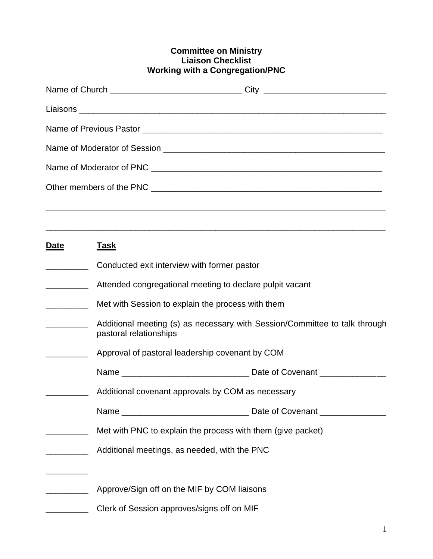## **Committee on Ministry Liaison Checklist Working with a Congregation/PNC**

|                                      | Name of Church ___________________________________City _________________________                     |  |
|--------------------------------------|------------------------------------------------------------------------------------------------------|--|
|                                      |                                                                                                      |  |
|                                      |                                                                                                      |  |
|                                      |                                                                                                      |  |
|                                      |                                                                                                      |  |
|                                      |                                                                                                      |  |
|                                      |                                                                                                      |  |
|                                      |                                                                                                      |  |
| <u>Date</u>                          | <u>Task</u>                                                                                          |  |
|                                      | Conducted exit interview with former pastor                                                          |  |
| <u> Listen van die Stadt van die</u> | Attended congregational meeting to declare pulpit vacant                                             |  |
|                                      | Met with Session to explain the process with them                                                    |  |
| <u> 1990 - Johann Barnett, f</u>     | Additional meeting (s) as necessary with Session/Committee to talk through<br>pastoral relationships |  |
|                                      | Approval of pastoral leadership covenant by COM                                                      |  |
|                                      |                                                                                                      |  |
|                                      | Additional covenant approvals by COM as necessary                                                    |  |
|                                      |                                                                                                      |  |
|                                      | Met with PNC to explain the process with them (give packet)                                          |  |
|                                      | Additional meetings, as needed, with the PNC                                                         |  |
|                                      | Approve/Sign off on the MIF by COM liaisons                                                          |  |
|                                      | Clerk of Session approves/signs off on MIF                                                           |  |